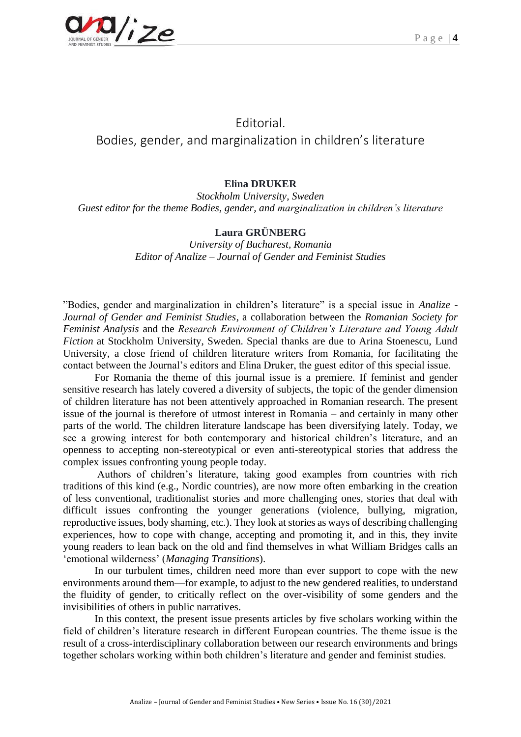

## Editorial. Bodies, gender, and marginalization in children's literature

## **Elina DRUKER**

*Stockholm University, Sweden Guest editor for the theme Bodies, gender, and marginalization in children's literature*

## **Laura GRÜNBERG**

*University of Bucharest, Romania Editor of Analize – Journal of Gender and Feminist Studies* 

"Bodies, gender and marginalization in children's literature" is a special issue in *Analize - Journal of Gender and Feminist Studies*, a collaboration between the *Romanian Society for Feminist Analysis* and the *Research Environment of Children's Literature and Young Adult Fiction* at Stockholm University, Sweden. Special thanks are due to Arina Stoenescu, Lund University, a close friend of children literature writers from Romania, for facilitating the contact between the Journal's editors and Elina Druker, the guest editor of this special issue.

For Romania the theme of this journal issue is a premiere. If feminist and gender sensitive research has lately covered a diversity of subjects, the topic of the gender dimension of children literature has not been attentively approached in Romanian research. The present issue of the journal is therefore of utmost interest in Romania – and certainly in many other parts of the world. The children literature landscape has been diversifying lately. Today, we see a growing interest for both contemporary and historical children's literature, and an openness to accepting non-stereotypical or even anti-stereotypical stories that address the complex issues confronting young people today.

Authors of children's literature, taking good examples from countries with rich traditions of this kind (e.g., Nordic countries), are now more often embarking in the creation of less conventional, traditionalist stories and more challenging ones, stories that deal with difficult issues confronting the younger generations (violence, bullying, migration, reproductive issues, body shaming, etc.). They look at stories as ways of describing challenging experiences, how to cope with change, accepting and promoting it, and in this, they invite young readers to lean back on the old and find themselves in what William Bridges calls an 'emotional wilderness' (*Managing Transitions*).

In our turbulent times, children need more than ever support to cope with the new environments around them—for example, to adjust to the new gendered realities, to understand the fluidity of gender, to critically reflect on the over-visibility of some genders and the invisibilities of others in public narratives.

In this context, the present issue presents articles by five scholars working within the field of children's literature research in different European countries. The theme issue is the result of a cross-interdisciplinary collaboration between our research environments and brings together scholars working within both children's literature and gender and feminist studies.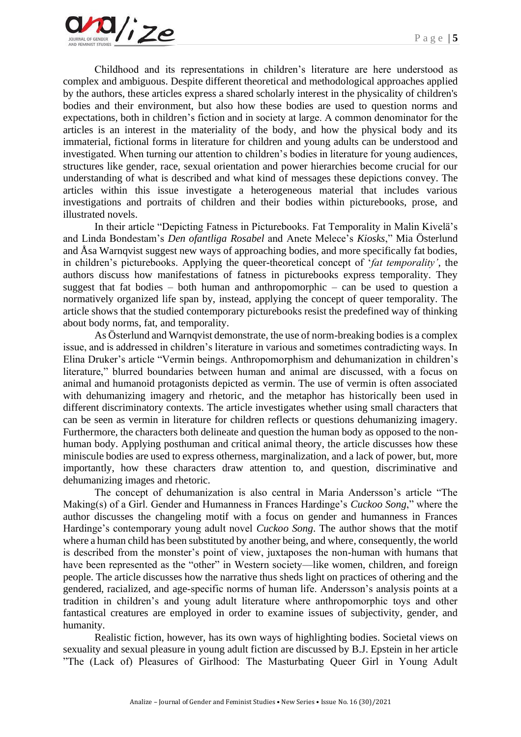Childhood and its representations in children's literature are here understood as complex and ambiguous. Despite different theoretical and methodological approaches applied by the authors, these articles express a shared scholarly interest in the physicality of children's bodies and their environment, but also how these bodies are used to question norms and expectations, both in children's fiction and in society at large. A common denominator for the articles is an interest in the materiality of the body, and how the physical body and its immaterial, fictional forms in literature for children and young adults can be understood and investigated. When turning our attention to children's bodies in literature for young audiences, structures like gender, race, sexual orientation and power hierarchies become crucial for our understanding of what is described and what kind of messages these depictions convey. The articles within this issue investigate a heterogeneous material that includes various investigations and portraits of children and their bodies within picturebooks, prose, and illustrated novels.

In their article "Depicting Fatness in Picturebooks. Fat Temporality in Malin Kivelä's and Linda Bondestam's *Den ofantliga Rosabel* and Anete Melece's *Kiosks*," Mia Österlund and Åsa Warnqvist suggest new ways of approaching bodies, and more specifically fat bodies, in children's picturebooks. Applying the queer-theoretical concept of '*fat temporality'*, the authors discuss how manifestations of fatness in picturebooks express temporality. They suggest that fat bodies – both human and anthropomorphic – can be used to question a normatively organized life span by, instead, applying the concept of queer temporality. The article shows that the studied contemporary picturebooks resist the predefined way of thinking about body norms, fat, and temporality.

As Österlund and Warnqvist demonstrate, the use of norm-breaking bodies is a complex issue, and is addressed in children's literature in various and sometimes contradicting ways. In Elina Druker's article "Vermin beings. Anthropomorphism and dehumanization in children's literature," blurred boundaries between human and animal are discussed, with a focus on animal and humanoid protagonists depicted as vermin. The use of vermin is often associated with dehumanizing imagery and rhetoric, and the metaphor has historically been used in different discriminatory contexts. The article investigates whether using small characters that can be seen as vermin in literature for children reflects or questions dehumanizing imagery. Furthermore, the characters both delineate and question the human body as opposed to the nonhuman body. Applying posthuman and critical animal theory, the article discusses how these miniscule bodies are used to express otherness, marginalization, and a lack of power, but, more importantly, how these characters draw attention to, and question, discriminative and dehumanizing images and rhetoric.

The concept of dehumanization is also central in Maria Andersson's article "The Making(s) of a Girl. Gender and Humanness in Frances Hardinge's *Cuckoo Song*," where the author discusses the changeling motif with a focus on gender and humanness in Frances Hardinge's contemporary young adult novel *Cuckoo Song*. The author shows that the motif where a human child has been substituted by another being, and where, consequently, the world is described from the monster's point of view, juxtaposes the non-human with humans that have been represented as the "other" in Western society—like women, children, and foreign people. The article discusses how the narrative thus sheds light on practices of othering and the gendered, racialized, and age-specific norms of human life. Andersson's analysis points at a tradition in children's and young adult literature where anthropomorphic toys and other fantastical creatures are employed in order to examine issues of subjectivity, gender, and humanity.

Realistic fiction, however, has its own ways of highlighting bodies. Societal views on sexuality and sexual pleasure in young adult fiction are discussed by B.J. Epstein in her article "The (Lack of) Pleasures of Girlhood: The Masturbating Queer Girl in Young Adult